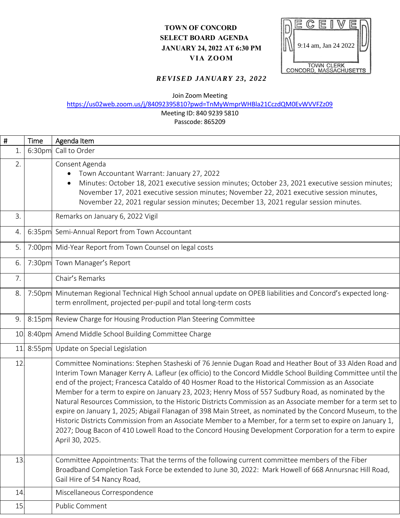## **TOWN OF CONCORD SELECT BOARD AGENDA JANUARY 24, 2022 AT 6:30 PM VIA ZOOM**



## *REVISED JANUARY 23, 2022*

|   |       |        | 9:14 am, Jan 24 2022<br>II NI<br><b>JANUARY 24, 2022 AT 6:30 PM</b><br>VIA ZOOM                                                                                                                                                                                                                                                                                                                                                                                                                                                                                                                                                                                                                                                                                                                                                                                                                                 |
|---|-------|--------|-----------------------------------------------------------------------------------------------------------------------------------------------------------------------------------------------------------------------------------------------------------------------------------------------------------------------------------------------------------------------------------------------------------------------------------------------------------------------------------------------------------------------------------------------------------------------------------------------------------------------------------------------------------------------------------------------------------------------------------------------------------------------------------------------------------------------------------------------------------------------------------------------------------------|
|   |       |        | <b>TOWN CLERK</b><br>CONCORD, MASSACHUSETTS                                                                                                                                                                                                                                                                                                                                                                                                                                                                                                                                                                                                                                                                                                                                                                                                                                                                     |
|   |       |        | <b>REVISED JANUARY 23, 2022</b>                                                                                                                                                                                                                                                                                                                                                                                                                                                                                                                                                                                                                                                                                                                                                                                                                                                                                 |
|   |       |        | Join Zoom Meeting                                                                                                                                                                                                                                                                                                                                                                                                                                                                                                                                                                                                                                                                                                                                                                                                                                                                                               |
|   |       |        | https://us02web.zoom.us/j/84092395810?pwd=TnMyWmprWHBla21CczdQM0EvWVVFZz09<br>Meeting ID: 840 9239 5810                                                                                                                                                                                                                                                                                                                                                                                                                                                                                                                                                                                                                                                                                                                                                                                                         |
|   |       |        | Passcode: 865209                                                                                                                                                                                                                                                                                                                                                                                                                                                                                                                                                                                                                                                                                                                                                                                                                                                                                                |
| # |       | Time   | Agenda Item                                                                                                                                                                                                                                                                                                                                                                                                                                                                                                                                                                                                                                                                                                                                                                                                                                                                                                     |
|   | $1$ . | 6:30pm | Call to Order                                                                                                                                                                                                                                                                                                                                                                                                                                                                                                                                                                                                                                                                                                                                                                                                                                                                                                   |
|   | 2.    |        | Consent Agenda                                                                                                                                                                                                                                                                                                                                                                                                                                                                                                                                                                                                                                                                                                                                                                                                                                                                                                  |
|   |       |        | Town Accountant Warrant: January 27, 2022<br>Minutes: October 18, 2021 executive session minutes; October 23, 2021 executive session minutes;<br>$\bullet$                                                                                                                                                                                                                                                                                                                                                                                                                                                                                                                                                                                                                                                                                                                                                      |
|   |       |        | November 17, 2021 executive session minutes; November 22, 2021 executive session minutes,                                                                                                                                                                                                                                                                                                                                                                                                                                                                                                                                                                                                                                                                                                                                                                                                                       |
|   |       |        | November 22, 2021 regular session minutes; December 13, 2021 regular session minutes.                                                                                                                                                                                                                                                                                                                                                                                                                                                                                                                                                                                                                                                                                                                                                                                                                           |
|   | 3.    |        | Remarks on January 6, 2022 Vigil                                                                                                                                                                                                                                                                                                                                                                                                                                                                                                                                                                                                                                                                                                                                                                                                                                                                                |
|   | 4.    |        | 6:35pm Semi-Annual Report from Town Accountant                                                                                                                                                                                                                                                                                                                                                                                                                                                                                                                                                                                                                                                                                                                                                                                                                                                                  |
|   | 5.    |        | 7:00pm Mid-Year Report from Town Counsel on legal costs                                                                                                                                                                                                                                                                                                                                                                                                                                                                                                                                                                                                                                                                                                                                                                                                                                                         |
|   | 6.    |        | 7:30pm Town Manager's Report                                                                                                                                                                                                                                                                                                                                                                                                                                                                                                                                                                                                                                                                                                                                                                                                                                                                                    |
|   | 7.    |        | Chair's Remarks                                                                                                                                                                                                                                                                                                                                                                                                                                                                                                                                                                                                                                                                                                                                                                                                                                                                                                 |
|   | 8.    |        | 7:50pm Minuteman Regional Technical High School annual update on OPEB liabilities and Concord's expected long-<br>term enrollment, projected per-pupil and total long-term costs                                                                                                                                                                                                                                                                                                                                                                                                                                                                                                                                                                                                                                                                                                                                |
|   | 9.    |        | 8:15pm Review Charge for Housing Production Plan Steering Committee                                                                                                                                                                                                                                                                                                                                                                                                                                                                                                                                                                                                                                                                                                                                                                                                                                             |
|   |       |        | 10 8:40pm Amend Middle School Building Committee Charge                                                                                                                                                                                                                                                                                                                                                                                                                                                                                                                                                                                                                                                                                                                                                                                                                                                         |
|   | 11    |        | 8:55pm Update on Special Legislation                                                                                                                                                                                                                                                                                                                                                                                                                                                                                                                                                                                                                                                                                                                                                                                                                                                                            |
|   | 12    |        | Committee Nominations: Stephen Stasheski of 76 Jennie Dugan Road and Heather Bout of 33 Alden Road and<br>Interim Town Manager Kerry A. Lafleur (ex officio) to the Concord Middle School Building Committee until the<br>end of the project; Francesca Cataldo of 40 Hosmer Road to the Historical Commission as an Associate<br>Member for a term to expire on January 23, 2023; Henry Moss of 557 Sudbury Road, as nominated by the<br>Natural Resources Commission, to the Historic Districts Commission as an Associate member for a term set to<br>expire on January 1, 2025; Abigail Flanagan of 398 Main Street, as nominated by the Concord Museum, to the<br>Historic Districts Commission from an Associate Member to a Member, for a term set to expire on January 1,<br>2027; Doug Bacon of 410 Lowell Road to the Concord Housing Development Corporation for a term to expire<br>April 30, 2025. |
|   | 13    |        | Committee Appointments: That the terms of the following current committee members of the Fiber<br>Broadband Completion Task Force be extended to June 30, 2022: Mark Howell of 668 Annursnac Hill Road,<br>Gail Hire of 54 Nancy Road,                                                                                                                                                                                                                                                                                                                                                                                                                                                                                                                                                                                                                                                                          |
|   | 14    |        | Miscellaneous Correspondence                                                                                                                                                                                                                                                                                                                                                                                                                                                                                                                                                                                                                                                                                                                                                                                                                                                                                    |
|   | 15    |        | Public Comment                                                                                                                                                                                                                                                                                                                                                                                                                                                                                                                                                                                                                                                                                                                                                                                                                                                                                                  |